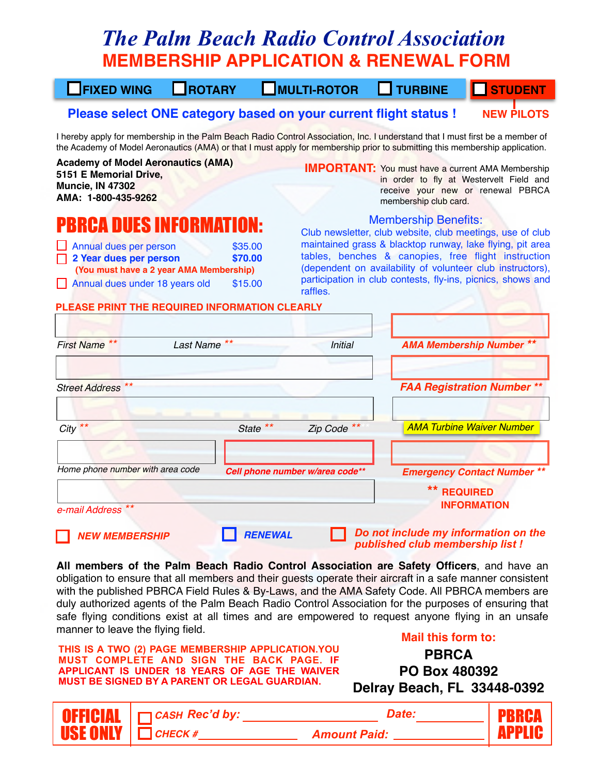## *The Palm Beach Radio Control Association* **MEMBERSHIP APPLICATION & RENEWAL FORM**

**EXAMPLE ROTARY MULTI-ROTOR FITURBINE TISTUDENT** 

### **Please select ONE category based on your current flight status ! NEW PILOTS**

I hereby apply for membership in the Palm Beach Radio Control Association, Inc. I understand that I must first be a member of the Academy of Model Aeronautics (AMA) or that I must apply for membership prior to submitting this membership application.

**Academy of Model Aeronautics (AMA) 5151 E Memorial Drive, Muncie, IN 47302 AMA: 1-800-435-9262**

**PRRCA DUFS INFORMAT** 

**IMPORTANT:** You must have a current AMA Membership in order to fly at Westervelt Field and receive your new or renewal PBRCA membership club card.

#### Membership Benefits:

Annual dues per person \$35.00  **2 Year dues per person \$70.00 (You must have a 2 year AMA Membership)** Annual dues under 18 years old \$15.00

Club newsletter, club website, club meetings, use of club maintained grass & blacktop runway, lake flying, pit area tables, benches & canopies, free flight instruction (dependent on availability of volunteer club instructors), participation in club contests, fly-ins, picnics, shows and raffles.

#### **PLEASE PRINT THE REQUIRED INFORMATION CLEARLY**

| First Name **<br>Last Name       | $***$                           | <b>Initial</b> | <b>AMA Membership Number **</b>                                         |
|----------------------------------|---------------------------------|----------------|-------------------------------------------------------------------------|
|                                  |                                 |                |                                                                         |
| Street Address <sup>**</sup>     |                                 |                | <b>FAA Registration Number **</b>                                       |
| $City$ **                        | State **                        | Zip Code **    | <b>AMA Turbine Waiver Number</b>                                        |
| Home phone number with area code | Cell phone number w/area code** |                | <b>Emergency Contact Number **</b>                                      |
| $***$<br>e-mail Address          |                                 |                | ** REQUIRED<br><b>INFORMATION</b>                                       |
| <b>NEW MEMBERSHIP</b>            | <b>RENEWAL</b>                  |                | Do not include my information on the<br>published club membership list! |

**All members of the Palm Beach Radio Control Association are Safety Officers**, and have an obligation to ensure that all members and their guests operate their aircraft in a safe manner consistent with the published PBRCA Field Rules & By-Laws, and the AMA Safety Code. All PBRCA members are duly authorized agents of the Palm Beach Radio Control Association for the purposes of ensuring that safe flying conditions exist at all times and are empowered to request anyone flying in an unsafe manner to leave the flying field.

**THIS IS A TWO (2) PAGE MEMBERSHIP APPLICATION.YOU MUST COMPLETE AND SIGN THE BACK PAGE. IF APPLICANT IS UNDER 18 YEARS OF AGE THE WAIVER MUST BE SIGNED BY A PARENT OR LEGAL GUARDIAN.**

**Mail this form to:**

**PBRCA PO Box 480392** 

**Delray Beach, FL 33448-0392**

|                                | <b>OFFICIAL</b> $\Box$ CASH Rec'd by: | Date:               | <b>PBRCA</b>  |
|--------------------------------|---------------------------------------|---------------------|---------------|
| <b>USE ONLY</b> $\Box$ Check # |                                       | <b>Amount Paid:</b> | <b>APPLIC</b> |